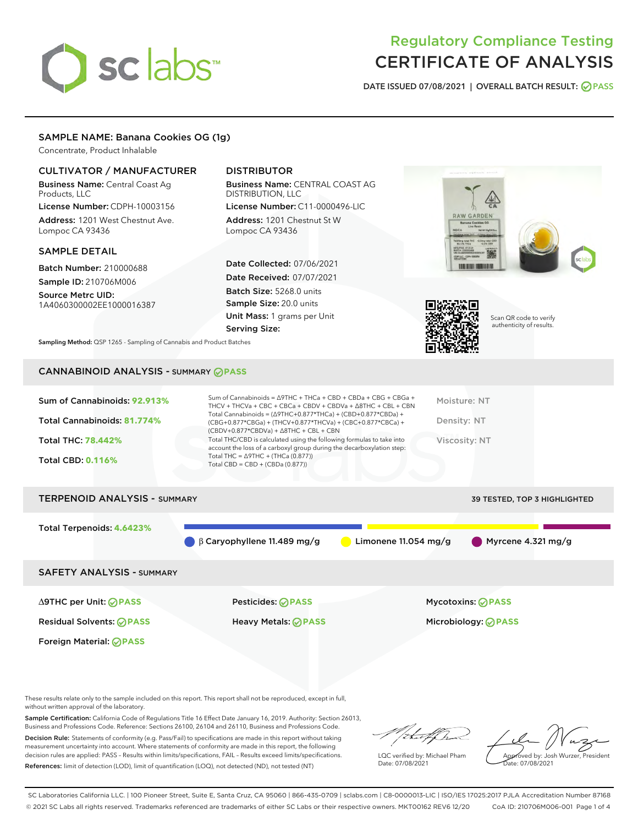# sclabs<sup>\*</sup>

### Regulatory Compliance Testing CERTIFICATE OF ANALYSIS

DATE ISSUED 07/08/2021 | OVERALL BATCH RESULT: @ PASS

#### SAMPLE NAME: Banana Cookies OG (1g)

Concentrate, Product Inhalable

#### CULTIVATOR / MANUFACTURER

Business Name: Central Coast Ag Products, LLC

License Number: CDPH-10003156 Address: 1201 West Chestnut Ave. Lompoc CA 93436

#### SAMPLE DETAIL

Batch Number: 210000688 Sample ID: 210706M006

Source Metrc UID: 1A4060300002EE1000016387

#### DISTRIBUTOR

Business Name: CENTRAL COAST AG DISTRIBUTION, LLC

License Number: C11-0000496-LIC Address: 1201 Chestnut St W Lompoc CA 93436

Date Collected: 07/06/2021 Date Received: 07/07/2021 Batch Size: 5268.0 units Sample Size: 20.0 units Unit Mass: 1 grams per Unit Serving Size:





Scan QR code to verify authenticity of results.

Sampling Method: QSP 1265 - Sampling of Cannabis and Product Batches

#### CANNABINOID ANALYSIS - SUMMARY **PASS**

| Total THC: 78.442%<br>Viscosity: NT<br>account the loss of a carboxyl group during the decarboxylation step:<br>Total THC = $\triangle$ 9THC + (THCa (0.877))<br><b>Total CBD: 0.116%</b><br>Total CBD = $CBD + (CBDa (0.877))$ | Sum of Cannabinoids: 92.913%<br>Total Cannabinoids: 81.774% | Sum of Cannabinoids = $\triangle$ 9THC + THCa + CBD + CBDa + CBG + CBGa +<br>THCV + THCVa + CBC + CBCa + CBDV + CBDVa + $\Delta$ 8THC + CBL + CBN<br>Total Cannabinoids = $(\Delta$ 9THC+0.877*THCa) + (CBD+0.877*CBDa) +<br>(CBG+0.877*CBGa) + (THCV+0.877*THCVa) + (CBC+0.877*CBCa) +<br>$(CBDV+0.877*CBDVa) + \Delta 8THC + CBL + CBN$ | Moisture: NT<br>Density: NT |
|---------------------------------------------------------------------------------------------------------------------------------------------------------------------------------------------------------------------------------|-------------------------------------------------------------|-------------------------------------------------------------------------------------------------------------------------------------------------------------------------------------------------------------------------------------------------------------------------------------------------------------------------------------------|-----------------------------|
|                                                                                                                                                                                                                                 |                                                             | Total THC/CBD is calculated using the following formulas to take into                                                                                                                                                                                                                                                                     |                             |

## TERPENOID ANALYSIS - SUMMARY 39 TESTED, TOP 3 HIGHLIGHTED Total Terpenoids: **4.6423%** β Caryophyllene 11.489 mg/g Limonene 11.054 mg/g Myrcene 4.321 mg/g SAFETY ANALYSIS - SUMMARY

Foreign Material: **PASS**

Residual Solvents: **PASS** Heavy Metals: **PASS** Microbiology: **PASS**

∆9THC per Unit: **PASS** Pesticides: **PASS** Mycotoxins: **PASS**

These results relate only to the sample included on this report. This report shall not be reproduced, except in full, without written approval of the laboratory.

Sample Certification: California Code of Regulations Title 16 Effect Date January 16, 2019. Authority: Section 26013, Business and Professions Code. Reference: Sections 26100, 26104 and 26110, Business and Professions Code. Decision Rule: Statements of conformity (e.g. Pass/Fail) to specifications are made in this report without taking

measurement uncertainty into account. Where statements of conformity are made in this report, the following decision rules are applied: PASS – Results within limits/specifications, FAIL – Results exceed limits/specifications. References: limit of detection (LOD), limit of quantification (LOQ), not detected (ND), not tested (NT)

that for

LQC verified by: Michael Pham Date: 07/08/2021

Approved by: Josh Wurzer, President ate: 07/08/2021

SC Laboratories California LLC. | 100 Pioneer Street, Suite E, Santa Cruz, CA 95060 | 866-435-0709 | sclabs.com | C8-0000013-LIC | ISO/IES 17025:2017 PJLA Accreditation Number 87168 © 2021 SC Labs all rights reserved. Trademarks referenced are trademarks of either SC Labs or their respective owners. MKT00162 REV6 12/20 CoA ID: 210706M006-001 Page 1 of 4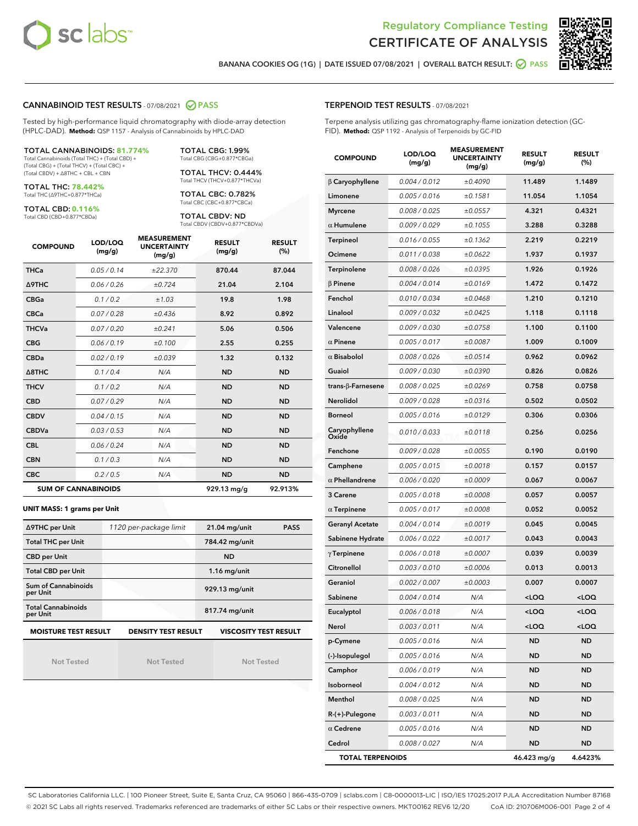



BANANA COOKIES OG (1G) | DATE ISSUED 07/08/2021 | OVERALL BATCH RESULT:  $\bigcirc$  PASS

#### CANNABINOID TEST RESULTS - 07/08/2021 2 PASS

Tested by high-performance liquid chromatography with diode-array detection (HPLC-DAD). **Method:** QSP 1157 - Analysis of Cannabinoids by HPLC-DAD

#### TOTAL CANNABINOIDS: **81.774%**

Total Cannabinoids (Total THC) + (Total CBD) + (Total CBG) + (Total THCV) + (Total CBC) + (Total CBDV) + ∆8THC + CBL + CBN

TOTAL THC: **78.442%** Total THC (∆9THC+0.877\*THCa)

TOTAL CBD: **0.116%**

Total CBD (CBD+0.877\*CBDa)

TOTAL CBG: 1.99% Total CBG (CBG+0.877\*CBGa)

TOTAL THCV: 0.444% Total THCV (THCV+0.877\*THCVa)

TOTAL CBC: 0.782% Total CBC (CBC+0.877\*CBCa)

TOTAL CBDV: ND Total CBDV (CBDV+0.877\*CBDVa)

| <b>COMPOUND</b>  | LOD/LOQ<br>(mg/g)          | <b>MEASUREMENT</b><br><b>UNCERTAINTY</b><br>(mg/g) | <b>RESULT</b><br>(mg/g) | <b>RESULT</b><br>(%) |
|------------------|----------------------------|----------------------------------------------------|-------------------------|----------------------|
| <b>THCa</b>      | 0.05/0.14                  | ±22.370                                            | 870.44                  | 87.044               |
| <b>A9THC</b>     | 0.06 / 0.26                | ±0.724                                             | 21.04                   | 2.104                |
| <b>CBGa</b>      | 0.1/0.2                    | ±1.03                                              | 19.8                    | 1.98                 |
| <b>CBCa</b>      | 0.07/0.28                  | ±0.436                                             | 8.92                    | 0.892                |
| <b>THCVa</b>     | 0.07/0.20                  | ±0.241                                             | 5.06                    | 0.506                |
| <b>CBG</b>       | 0.06/0.19                  | ±0.100                                             | 2.55                    | 0.255                |
| <b>CBDa</b>      | 0.02/0.19                  | ±0.039                                             | 1.32                    | 0.132                |
| $\triangle$ 8THC | 0.1/0.4                    | N/A                                                | <b>ND</b>               | <b>ND</b>            |
| <b>THCV</b>      | 0.1/0.2                    | N/A                                                | <b>ND</b>               | <b>ND</b>            |
| <b>CBD</b>       | 0.07/0.29                  | N/A                                                | <b>ND</b>               | <b>ND</b>            |
| <b>CBDV</b>      | 0.04 / 0.15                | N/A                                                | <b>ND</b>               | <b>ND</b>            |
| <b>CBDVa</b>     | 0.03/0.53                  | N/A                                                | <b>ND</b>               | <b>ND</b>            |
| <b>CBL</b>       | 0.06 / 0.24                | N/A                                                | <b>ND</b>               | <b>ND</b>            |
| <b>CBN</b>       | 0.1/0.3                    | N/A                                                | <b>ND</b>               | <b>ND</b>            |
| <b>CBC</b>       | 0.2 / 0.5                  | N/A                                                | <b>ND</b>               | <b>ND</b>            |
|                  | <b>SUM OF CANNABINOIDS</b> |                                                    | 929.13 mg/g             | 92.913%              |

#### **UNIT MASS: 1 grams per Unit**

| ∆9THC per Unit                        | 1120 per-package limit     | $21.04$ mg/unit<br><b>PASS</b> |  |
|---------------------------------------|----------------------------|--------------------------------|--|
| <b>Total THC per Unit</b>             |                            | 784.42 mg/unit                 |  |
| <b>CBD per Unit</b>                   |                            | <b>ND</b>                      |  |
| <b>Total CBD per Unit</b>             |                            | $1.16$ mg/unit                 |  |
| Sum of Cannabinoids<br>per Unit       |                            | 929.13 mg/unit                 |  |
| <b>Total Cannabinoids</b><br>per Unit |                            | 817.74 mg/unit                 |  |
| <b>MOISTURE TEST RESULT</b>           | <b>DENSITY TEST RESULT</b> | <b>VISCOSITY TEST RESULT</b>   |  |

Not Tested

Not Tested

Not Tested

#### TERPENOID TEST RESULTS - 07/08/2021

Terpene analysis utilizing gas chromatography-flame ionization detection (GC-FID). **Method:** QSP 1192 - Analysis of Terpenoids by GC-FID

| <b>COMPOUND</b>         | LOD/LOQ<br>(mg/g) | <b>MEASUREMENT</b><br><b>UNCERTAINTY</b><br>(mg/g) | <b>RESULT</b><br>(mg/g)                          | <b>RESULT</b><br>$(\%)$ |
|-------------------------|-------------------|----------------------------------------------------|--------------------------------------------------|-------------------------|
| $\beta$ Caryophyllene   | 0.004 / 0.012     | ±0.4090                                            | 11.489                                           | 1.1489                  |
| Limonene                | 0.005 / 0.016     | ±0.1581                                            | 11.054                                           | 1.1054                  |
| <b>Myrcene</b>          | 0.008 / 0.025     | ±0.0557                                            | 4.321                                            | 0.4321                  |
| $\alpha$ Humulene       | 0.009 / 0.029     | ±0.1055                                            | 3.288                                            | 0.3288                  |
| <b>Terpineol</b>        | 0.016 / 0.055     | ±0.1362                                            | 2.219                                            | 0.2219                  |
| Ocimene                 | 0.011 / 0.038     | ±0.0622                                            | 1.937                                            | 0.1937                  |
| Terpinolene             | 0.008 / 0.026     | ±0.0395                                            | 1.926                                            | 0.1926                  |
| $\beta$ Pinene          | 0.004 / 0.014     | ±0.0169                                            | 1.472                                            | 0.1472                  |
| Fenchol                 | 0.010 / 0.034     | ±0.0468                                            | 1.210                                            | 0.1210                  |
| Linalool                | 0.009 / 0.032     | ±0.0425                                            | 1.118                                            | 0.1118                  |
| Valencene               | 0.009 / 0.030     | ±0.0758                                            | 1.100                                            | 0.1100                  |
| $\alpha$ Pinene         | 0.005 / 0.017     | ±0.0087                                            | 1.009                                            | 0.1009                  |
| $\alpha$ Bisabolol      | 0.008 / 0.026     | ±0.0514                                            | 0.962                                            | 0.0962                  |
| Guaiol                  | 0.009 / 0.030     | ±0.0390                                            | 0.826                                            | 0.0826                  |
| trans-ß-Farnesene       | 0.008 / 0.025     | ±0.0269                                            | 0.758                                            | 0.0758                  |
| <b>Nerolidol</b>        | 0.009 / 0.028     | ±0.0316                                            | 0.502                                            | 0.0502                  |
| <b>Borneol</b>          | 0.005 / 0.016     | ±0.0129                                            | 0.306                                            | 0.0306                  |
| Caryophyllene<br>Oxide  | 0.010 / 0.033     | ±0.0118                                            | 0.256                                            | 0.0256                  |
| Fenchone                | 0.009 / 0.028     | ±0.0055                                            | 0.190                                            | 0.0190                  |
| Camphene                | 0.005 / 0.015     | ±0.0018                                            | 0.157                                            | 0.0157                  |
| $\alpha$ Phellandrene   | 0.006 / 0.020     | ±0.0009                                            | 0.067                                            | 0.0067                  |
| 3 Carene                | 0.005 / 0.018     | ±0.0008                                            | 0.057                                            | 0.0057                  |
| $\alpha$ Terpinene      | 0.005 / 0.017     | ±0.0008                                            | 0.052                                            | 0.0052                  |
| Geranyl Acetate         | 0.004 / 0.014     | ±0.0019                                            | 0.045                                            | 0.0045                  |
| Sabinene Hydrate        | 0.006 / 0.022     | ±0.0017                                            | 0.043                                            | 0.0043                  |
| $\gamma$ Terpinene      | 0.006 / 0.018     | ±0.0007                                            | 0.039                                            | 0.0039                  |
| Citronellol             | 0.003 / 0.010     | ±0.0006                                            | 0.013                                            | 0.0013                  |
| Geraniol                | 0.002 / 0.007     | ±0.0003                                            | 0.007                                            | 0.0007                  |
| Sabinene                | 0.004 / 0.014     | N/A                                                | <loq< th=""><th><math>&lt;</math>LOQ</th></loq<> | $<$ LOQ                 |
| Eucalyptol              | 0.006 / 0.018     | N/A                                                | $<$ l OO                                         | $\sim$ 0.0              |
| Nerol                   | 0.003 / 0.011     | N/A                                                | <loq< th=""><th><loq< th=""></loq<></th></loq<>  | <loq< th=""></loq<>     |
| p-Cymene                | 0.005 / 0.016     | N/A                                                | ND                                               | <b>ND</b>               |
| (-)-Isopulegol          | 0.005 / 0.016     | N/A                                                | ND                                               | <b>ND</b>               |
| Camphor                 | 0.006 / 0.019     | N/A                                                | ND                                               | ND                      |
| Isoborneol              | 0.004 / 0.012     | N/A                                                | ND                                               | ND                      |
| Menthol                 | 0.008 / 0.025     | N/A                                                | ND                                               | ND                      |
| R-(+)-Pulegone          | 0.003 / 0.011     | N/A                                                | ND                                               | ND                      |
| $\alpha$ Cedrene        | 0.005 / 0.016     | N/A                                                | ND                                               | ND                      |
| Cedrol                  | 0.008 / 0.027     | N/A                                                | ND                                               | <b>ND</b>               |
| <b>TOTAL TERPENOIDS</b> |                   |                                                    | 46.423 mg/g                                      | 4.6423%                 |

SC Laboratories California LLC. | 100 Pioneer Street, Suite E, Santa Cruz, CA 95060 | 866-435-0709 | sclabs.com | C8-0000013-LIC | ISO/IES 17025:2017 PJLA Accreditation Number 87168 © 2021 SC Labs all rights reserved. Trademarks referenced are trademarks of either SC Labs or their respective owners. MKT00162 REV6 12/20 CoA ID: 210706M006-001 Page 2 of 4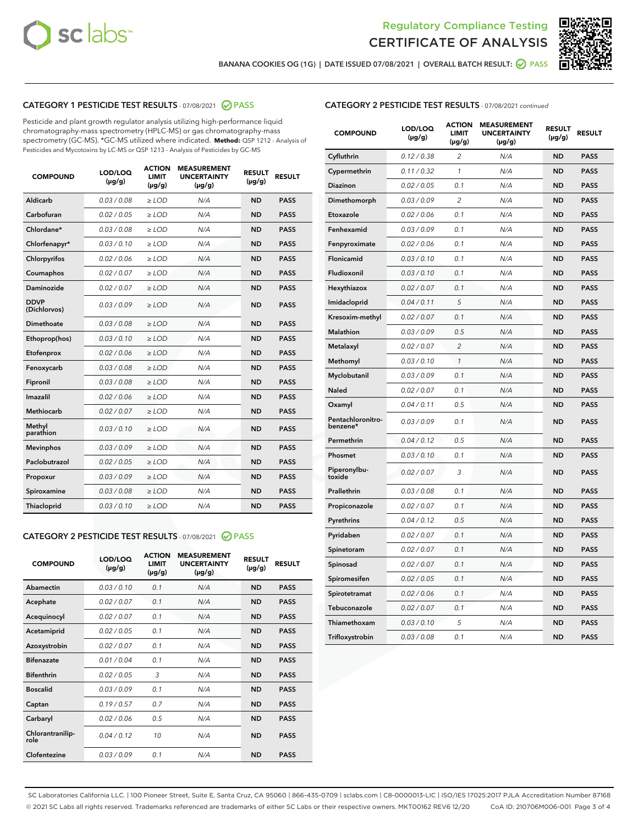



BANANA COOKIES OG (1G) | DATE ISSUED 07/08/2021 | OVERALL BATCH RESULT: @ PASS

#### CATEGORY 1 PESTICIDE TEST RESULTS - 07/08/2021 @ PASS

Pesticide and plant growth regulator analysis utilizing high-performance liquid chromatography-mass spectrometry (HPLC-MS) or gas chromatography-mass spectrometry (GC-MS). \*GC-MS utilized where indicated. **Method:** QSP 1212 - Analysis of Pesticides and Mycotoxins by LC-MS or QSP 1213 - Analysis of Pesticides by GC-MS

| <b>COMPOUND</b>             | LOD/LOQ<br>$(\mu g/g)$ | <b>ACTION</b><br><b>LIMIT</b><br>$(\mu g/g)$ | <b>MEASUREMENT</b><br><b>UNCERTAINTY</b><br>$(\mu g/g)$ | <b>RESULT</b><br>$(\mu g/g)$ | <b>RESULT</b> |
|-----------------------------|------------------------|----------------------------------------------|---------------------------------------------------------|------------------------------|---------------|
| Aldicarb                    | 0.03 / 0.08            | $\ge$ LOD                                    | N/A                                                     | <b>ND</b>                    | <b>PASS</b>   |
| Carbofuran                  | 0.02/0.05              | $\ge$ LOD                                    | N/A                                                     | <b>ND</b>                    | <b>PASS</b>   |
| Chlordane*                  | 0.03 / 0.08            | $>$ LOD                                      | N/A                                                     | <b>ND</b>                    | <b>PASS</b>   |
| Chlorfenapyr*               | 0.03/0.10              | $>$ LOD                                      | N/A                                                     | <b>ND</b>                    | <b>PASS</b>   |
| Chlorpyrifos                | 0.02 / 0.06            | $\ge$ LOD                                    | N/A                                                     | <b>ND</b>                    | <b>PASS</b>   |
| Coumaphos                   | 0.02 / 0.07            | $\ge$ LOD                                    | N/A                                                     | <b>ND</b>                    | <b>PASS</b>   |
| Daminozide                  | 0.02 / 0.07            | $\ge$ LOD                                    | N/A                                                     | <b>ND</b>                    | <b>PASS</b>   |
| <b>DDVP</b><br>(Dichlorvos) | 0.03/0.09              | $\ge$ LOD                                    | N/A                                                     | <b>ND</b>                    | <b>PASS</b>   |
| Dimethoate                  | 0.03 / 0.08            | $\ge$ LOD                                    | N/A                                                     | <b>ND</b>                    | <b>PASS</b>   |
| Ethoprop(hos)               | 0.03/0.10              | $>$ LOD                                      | N/A                                                     | <b>ND</b>                    | <b>PASS</b>   |
| Etofenprox                  | 0.02 / 0.06            | $\ge$ LOD                                    | N/A                                                     | <b>ND</b>                    | <b>PASS</b>   |
| Fenoxycarb                  | 0.03/0.08              | $\ge$ LOD                                    | N/A                                                     | <b>ND</b>                    | <b>PASS</b>   |
| Fipronil                    | 0.03 / 0.08            | $\ge$ LOD                                    | N/A                                                     | <b>ND</b>                    | <b>PASS</b>   |
| Imazalil                    | 0.02 / 0.06            | $>$ LOD                                      | N/A                                                     | <b>ND</b>                    | <b>PASS</b>   |
| Methiocarb                  | 0.02 / 0.07            | $\ge$ LOD                                    | N/A                                                     | <b>ND</b>                    | <b>PASS</b>   |
| Methyl<br>parathion         | 0.03/0.10              | $\ge$ LOD                                    | N/A                                                     | <b>ND</b>                    | <b>PASS</b>   |
| <b>Mevinphos</b>            | 0.03/0.09              | $\ge$ LOD                                    | N/A                                                     | <b>ND</b>                    | <b>PASS</b>   |
| Paclobutrazol               | 0.02 / 0.05            | $\ge$ LOD                                    | N/A                                                     | <b>ND</b>                    | <b>PASS</b>   |
| Propoxur                    | 0.03/0.09              | $\ge$ LOD                                    | N/A                                                     | <b>ND</b>                    | <b>PASS</b>   |
| Spiroxamine                 | 0.03/0.08              | $\ge$ LOD                                    | N/A                                                     | <b>ND</b>                    | <b>PASS</b>   |
| Thiacloprid                 | 0.03/0.10              | $\ge$ LOD                                    | N/A                                                     | <b>ND</b>                    | <b>PASS</b>   |

#### CATEGORY 2 PESTICIDE TEST RESULTS - 07/08/2021 @ PASS

| <b>COMPOUND</b>          | LOD/LOO<br>$(\mu g/g)$ | <b>ACTION</b><br>LIMIT<br>$(\mu g/g)$ | <b>MEASUREMENT</b><br><b>UNCERTAINTY</b><br>$(\mu g/g)$ | <b>RESULT</b><br>$(\mu g/g)$ | <b>RESULT</b> |
|--------------------------|------------------------|---------------------------------------|---------------------------------------------------------|------------------------------|---------------|
| Abamectin                | 0.03/0.10              | 0.1                                   | N/A                                                     | <b>ND</b>                    | <b>PASS</b>   |
| Acephate                 | 0.02/0.07              | 0.1                                   | N/A                                                     | <b>ND</b>                    | <b>PASS</b>   |
| Acequinocyl              | 0.02/0.07              | 0.1                                   | N/A                                                     | <b>ND</b>                    | <b>PASS</b>   |
| Acetamiprid              | 0.02/0.05              | 0.1                                   | N/A                                                     | <b>ND</b>                    | <b>PASS</b>   |
| Azoxystrobin             | 0.02/0.07              | 0.1                                   | N/A                                                     | <b>ND</b>                    | <b>PASS</b>   |
| <b>Bifenazate</b>        | 0.01/0.04              | 0.1                                   | N/A                                                     | <b>ND</b>                    | <b>PASS</b>   |
| <b>Bifenthrin</b>        | 0.02/0.05              | 3                                     | N/A                                                     | <b>ND</b>                    | <b>PASS</b>   |
| <b>Boscalid</b>          | 0.03/0.09              | 0.1                                   | N/A                                                     | <b>ND</b>                    | <b>PASS</b>   |
| Captan                   | 0.19/0.57              | 0.7                                   | N/A                                                     | <b>ND</b>                    | <b>PASS</b>   |
| Carbaryl                 | 0.02/0.06              | 0.5                                   | N/A                                                     | <b>ND</b>                    | <b>PASS</b>   |
| Chlorantranilip-<br>role | 0.04/0.12              | 10                                    | N/A                                                     | <b>ND</b>                    | <b>PASS</b>   |
| Clofentezine             | 0.03/0.09              | 0.1                                   | N/A                                                     | <b>ND</b>                    | <b>PASS</b>   |

#### CATEGORY 2 PESTICIDE TEST RESULTS - 07/08/2021 continued

| <b>COMPOUND</b>               | LOD/LOQ<br>(µg/g) | <b>ACTION</b><br><b>LIMIT</b><br>$(\mu g/g)$ | <b>MEASUREMENT</b><br><b>UNCERTAINTY</b><br>$(\mu g/g)$ | <b>RESULT</b><br>(µg/g) | <b>RESULT</b> |
|-------------------------------|-------------------|----------------------------------------------|---------------------------------------------------------|-------------------------|---------------|
| Cyfluthrin                    | 0.12 / 0.38       | $\overline{c}$                               | N/A                                                     | ND                      | <b>PASS</b>   |
| Cypermethrin                  | 0.11 / 0.32       | $\mathcal{I}$                                | N/A                                                     | ND                      | <b>PASS</b>   |
| Diazinon                      | 0.02 / 0.05       | 0.1                                          | N/A                                                     | <b>ND</b>               | <b>PASS</b>   |
| Dimethomorph                  | 0.03 / 0.09       | $\overline{2}$                               | N/A                                                     | ND                      | <b>PASS</b>   |
| Etoxazole                     | 0.02 / 0.06       | 0.1                                          | N/A                                                     | ND                      | <b>PASS</b>   |
| Fenhexamid                    | 0.03 / 0.09       | 0.1                                          | N/A                                                     | <b>ND</b>               | <b>PASS</b>   |
| Fenpyroximate                 | 0.02 / 0.06       | 0.1                                          | N/A                                                     | ND                      | <b>PASS</b>   |
| Flonicamid                    | 0.03 / 0.10       | 0.1                                          | N/A                                                     | ND                      | <b>PASS</b>   |
| Fludioxonil                   | 0.03 / 0.10       | 0.1                                          | N/A                                                     | ND                      | <b>PASS</b>   |
| Hexythiazox                   | 0.02 / 0.07       | 0.1                                          | N/A                                                     | ND                      | <b>PASS</b>   |
| Imidacloprid                  | 0.04 / 0.11       | 5                                            | N/A                                                     | ND                      | <b>PASS</b>   |
| Kresoxim-methyl               | 0.02 / 0.07       | 0.1                                          | N/A                                                     | ND                      | <b>PASS</b>   |
| <b>Malathion</b>              | 0.03 / 0.09       | 0.5                                          | N/A                                                     | ND                      | <b>PASS</b>   |
| Metalaxyl                     | 0.02 / 0.07       | $\overline{c}$                               | N/A                                                     | ND                      | <b>PASS</b>   |
| Methomyl                      | 0.03 / 0.10       | 1                                            | N/A                                                     | <b>ND</b>               | <b>PASS</b>   |
| Myclobutanil                  | 0.03 / 0.09       | 0.1                                          | N/A                                                     | ND                      | <b>PASS</b>   |
| Naled                         | 0.02 / 0.07       | 0.1                                          | N/A                                                     | ND                      | <b>PASS</b>   |
| Oxamyl                        | 0.04 / 0.11       | 0.5                                          | N/A                                                     | ND                      | <b>PASS</b>   |
| Pentachloronitro-<br>benzene* | 0.03 / 0.09       | 0.1                                          | N/A                                                     | ND                      | <b>PASS</b>   |
| Permethrin                    | 0.04 / 0.12       | 0.5                                          | N/A                                                     | ND                      | <b>PASS</b>   |
| Phosmet                       | 0.03 / 0.10       | 0.1                                          | N/A                                                     | ND                      | <b>PASS</b>   |
| Piperonylbu-<br>toxide        | 0.02 / 0.07       | 3                                            | N/A                                                     | ND                      | <b>PASS</b>   |
| Prallethrin                   | 0.03 / 0.08       | 0.1                                          | N/A                                                     | ND                      | <b>PASS</b>   |
| Propiconazole                 | 0.02 / 0.07       | 0.1                                          | N/A                                                     | ND                      | <b>PASS</b>   |
| Pyrethrins                    | 0.04 / 0.12       | 0.5                                          | N/A                                                     | ND                      | <b>PASS</b>   |
| Pyridaben                     | 0.02 / 0.07       | 0.1                                          | N/A                                                     | ND                      | <b>PASS</b>   |
| Spinetoram                    | 0.02 / 0.07       | 0.1                                          | N/A                                                     | ND                      | <b>PASS</b>   |
| Spinosad                      | 0.02 / 0.07       | 0.1                                          | N/A                                                     | ND                      | <b>PASS</b>   |
| Spiromesifen                  | 0.02 / 0.05       | 0.1                                          | N/A                                                     | <b>ND</b>               | <b>PASS</b>   |
| Spirotetramat                 | 0.02 / 0.06       | 0.1                                          | N/A                                                     | ND                      | <b>PASS</b>   |
| Tebuconazole                  | 0.02 / 0.07       | 0.1                                          | N/A                                                     | ND                      | <b>PASS</b>   |
| Thiamethoxam                  | 0.03 / 0.10       | 5                                            | N/A                                                     | ND                      | <b>PASS</b>   |
| Trifloxystrobin               | 0.03 / 0.08       | 0.1                                          | N/A                                                     | <b>ND</b>               | <b>PASS</b>   |

SC Laboratories California LLC. | 100 Pioneer Street, Suite E, Santa Cruz, CA 95060 | 866-435-0709 | sclabs.com | C8-0000013-LIC | ISO/IES 17025:2017 PJLA Accreditation Number 87168 © 2021 SC Labs all rights reserved. Trademarks referenced are trademarks of either SC Labs or their respective owners. MKT00162 REV6 12/20 CoA ID: 210706M006-001 Page 3 of 4